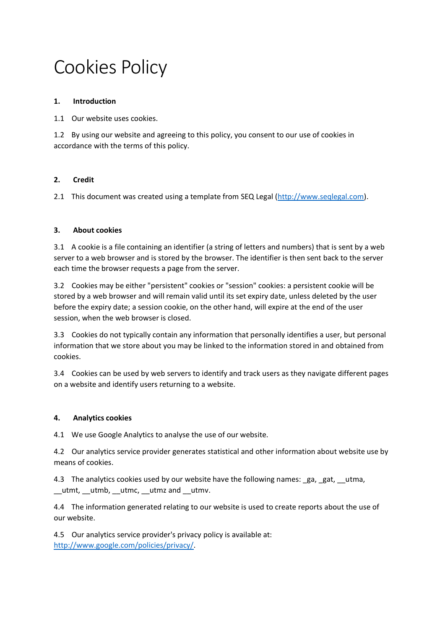# Cookies Policy

### **1. Introduction**

1.1 Our website uses cookies.

1.2 By using our website and agreeing to this policy, you consent to our use of cookies in accordance with the terms of this policy.

# **2. Credit**

2.1 This document was created using a template from SEQ Legal [\(http://www.seqlegal.com\)](http://www.seqlegal.com/).

#### **3. About cookies**

3.1 A cookie is a file containing an identifier (a string of letters and numbers) that is sent by a web server to a web browser and is stored by the browser. The identifier is then sent back to the server each time the browser requests a page from the server.

3.2 Cookies may be either "persistent" cookies or "session" cookies: a persistent cookie will be stored by a web browser and will remain valid until its set expiry date, unless deleted by the user before the expiry date; a session cookie, on the other hand, will expire at the end of the user session, when the web browser is closed.

3.3 Cookies do not typically contain any information that personally identifies a user, but personal information that we store about you may be linked to the information stored in and obtained from cookies.

3.4 Cookies can be used by web servers to identify and track users as they navigate different pages on a website and identify users returning to a website.

#### **4. Analytics cookies**

4.1 We use Google Analytics to analyse the use of our website.

4.2 Our analytics service provider generates statistical and other information about website use by means of cookies.

4.3 The analytics cookies used by our website have the following names: ga, gat, \_\_utma, \_\_utmt, \_\_utmb, \_\_utmc, \_\_utmz and \_\_utmv.

4.4 The information generated relating to our website is used to create reports about the use of our website.

4.5 Our analytics service provider's privacy policy is available at: [http://www.google.com/policies/privacy/.](http://www.google.com/policies/privacy/)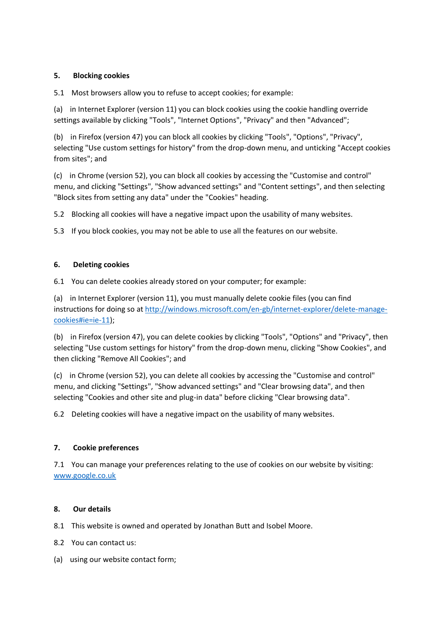# **5. Blocking cookies**

5.1 Most browsers allow you to refuse to accept cookies; for example:

(a) in Internet Explorer (version 11) you can block cookies using the cookie handling override settings available by clicking "Tools", "Internet Options", "Privacy" and then "Advanced";

(b) in Firefox (version 47) you can block all cookies by clicking "Tools", "Options", "Privacy", selecting "Use custom settings for history" from the drop-down menu, and unticking "Accept cookies from sites"; and

(c) in Chrome (version 52), you can block all cookies by accessing the "Customise and control" menu, and clicking "Settings", "Show advanced settings" and "Content settings", and then selecting "Block sites from setting any data" under the "Cookies" heading.

5.2 Blocking all cookies will have a negative impact upon the usability of many websites.

5.3 If you block cookies, you may not be able to use all the features on our website.

# **6. Deleting cookies**

6.1 You can delete cookies already stored on your computer; for example:

(a) in Internet Explorer (version 11), you must manually delete cookie files (you can find instructions for doing so at [http://windows.microsoft.com/en-gb/internet-explorer/delete-manage](http://windows.microsoft.com/en-gb/internet-explorer/delete-manage-cookies#ie=ie-11)[cookies#ie=ie-11\)](http://windows.microsoft.com/en-gb/internet-explorer/delete-manage-cookies#ie=ie-11);

(b) in Firefox (version 47), you can delete cookies by clicking "Tools", "Options" and "Privacy", then selecting "Use custom settings for history" from the drop-down menu, clicking "Show Cookies", and then clicking "Remove All Cookies"; and

(c) in Chrome (version 52), you can delete all cookies by accessing the "Customise and control" menu, and clicking "Settings", "Show advanced settings" and "Clear browsing data", and then selecting "Cookies and other site and plug-in data" before clicking "Clear browsing data".

6.2 Deleting cookies will have a negative impact on the usability of many websites.

# **7. Cookie preferences**

7.1 You can manage your preferences relating to the use of cookies on our website by visiting: [www.google.co.uk](http://www.google.co.uk/)

# **8. Our details**

- 8.1 This website is owned and operated by Jonathan Butt and Isobel Moore.
- 8.2 You can contact us:
- (a) using our website contact form;